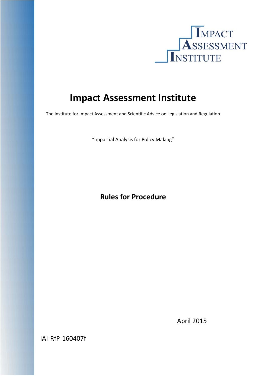

# **Impact Assessment Institute**

The Institute for Impact Assessment and Scientific Advice on Legislation and Regulation

"Impartial Analysis for Policy Making"

# **Rules for Procedure**

April 2015

IAI‐RfP‐160407f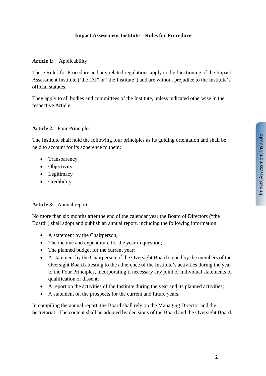### **Article 1:** Applicability

These Rules for Procedure and any related regulations apply to the functioning of the Impact Assessment Institute ('the IAI" or "the Institute") and are without prejudice to the Institute's official statutes.

They apply to all bodies and committees of the Institute, unless indicated otherwise in the respective Article.

#### **Article 2:** Four Principles

The Institute shall hold the following four principles as its guiding orientation and shall be held to account for its adherence to them:

- Transparency
- Objectivity
- Legitimacy
- Credibility

#### **Article 3:** Annual report

No more than six months after the end of the calendar year the Board of Directors ("the Board") shall adopt and publish an annual report, including the following information:

- A statement by the Chairperson;
- The income and expenditure for the year in question;
- The planned budget for the current year;
- A statement by the Chairperson of the Oversight Board signed by the members of the Oversight Board attesting to the adherence of the Institute's activities during the year to the Four Principles, incorporating if necessary any joint or individual statements of qualification or dissent;
- A report on the activities of the Institute during the year and its planned activities;
- A statement on the prospects for the current and future years.

In compiling the annual report, the Board shall rely on the Managing Director and the Secretariat. The content shall be adopted by decisions of the Board and the Oversight Board.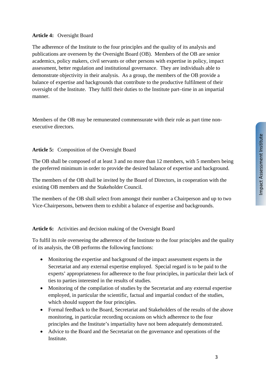# **Article 4:** Oversight Board

The adherence of the Institute to the four principles and the quality of its analysis and publications are overseen by the Oversight Board (OB). Members of the OB are senior academics, policy makers, civil servants or other persons with expertise in policy, impact assessment, better regulation and institutional governance. They are individuals able to demonstrate objectivity in their analysis. As a group, the members of the OB provide a balance of expertise and backgrounds that contribute to the productive fulfilment of their oversight of the Institute. They fulfil their duties to the Institute part–time in an impartial manner.

Members of the OB may be remunerated commensurate with their role as part time nonexecutive directors.

# **Article 5:** Composition of the Oversight Board

The OB shall be composed of at least 3 and no more than 12 members, with 5 members being the preferred minimum in order to provide the desired balance of expertise and background.

The members of the OB shall be invited by the Board of Directors, in cooperation with the existing OB members and the Stakeholder Council.

The members of the OB shall select from amongst their number a Chairperson and up to two Vice-Chairpersons, between them to exhibit a balance of expertise and backgrounds.

**Article 6:** Activities and decision making of the Oversight Board

To fulfil its role overseeing the adherence of the Institute to the four principles and the quality of its analysis, the OB performs the following functions:

- Monitoring the expertise and background of the impact assessment experts in the Secretariat and any external expertise employed. Special regard is to be paid to the experts' appropriateness for adherence to the four principles, in particular their lack of ties to parties interested in the results of studies.
- Monitoring of the compilation of studies by the Secretariat and any external expertise employed, in particular the scientific, factual and impartial conduct of the studies, which should support the four principles.
- Formal feedback to the Board, Secretariat and Stakeholders of the results of the above monitoring, in particular recording occasions on which adherence to the four principles and the Institute's impartiality have not been adequately demonstrated.
- Advice to the Board and the Secretariat on the governance and operations of the Institute.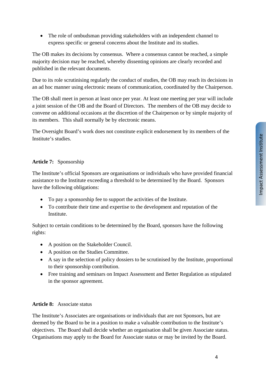• The role of ombudsman providing stakeholders with an independent channel to express specific or general concerns about the Institute and its studies.

The OB makes its decisions by consensus. Where a consensus cannot be reached, a simple majority decision may be reached, whereby dissenting opinions are clearly recorded and published in the relevant documents.

Due to its role scrutinising regularly the conduct of studies, the OB may reach its decisions in an ad hoc manner using electronic means of communication, coordinated by the Chairperson.

The OB shall meet in person at least once per year. At least one meeting per year will include a joint session of the OB and the Board of Directors. The members of the OB may decide to convene on additional occasions at the discretion of the Chairperson or by simple majority of its members. This shall normally be by electronic means.

The Oversight Board's work does not constitute explicit endorsement by its members of the Institute's studies.

# **Article 7:** Sponsorship

The Institute's official Sponsors are organisations or individuals who have provided financial assistance to the Institute exceeding a threshold to be determined by the Board. Sponsors have the following obligations:

- To pay a sponsorship fee to support the activities of the Institute.
- To contribute their time and expertise to the development and reputation of the Institute.

Subject to certain conditions to be determined by the Board, sponsors have the following rights:

- A position on the Stakeholder Council.
- A position on the Studies Committee.
- A say in the selection of policy dossiers to be scrutinised by the Institute, proportional to their sponsorship contribution.
- Free training and seminars on Impact Assessment and Better Regulation as stipulated in the sponsor agreement.

#### **Article 8:** Associate status

The Institute's Associates are organisations or individuals that are not Sponsors, but are deemed by the Board to be in a position to make a valuable contribution to the Institute's objectives. The Board shall decide whether an organisation shall be given Associate status. Organisations may apply to the Board for Associate status or may be invited by the Board.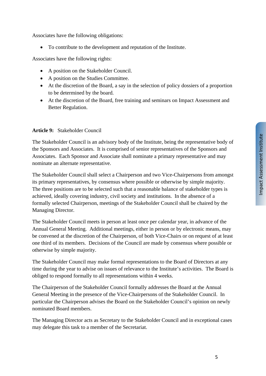Associates have the following obligations:

To contribute to the development and reputation of the Institute.

Associates have the following rights:

- A position on the Stakeholder Council.
- A position on the Studies Committee.
- At the discretion of the Board, a say in the selection of policy dossiers of a proportion to be determined by the board.
- At the discretion of the Board, free training and seminars on Impact Assessment and Better Regulation.

#### **Article 9:** Stakeholder Council

The Stakeholder Council is an advisory body of the Institute, being the representative body of the Sponsors and Associates. It is comprised of senior representatives of the Sponsors and Associates. Each Sponsor and Associate shall nominate a primary representative and may nominate an alternate representative.

The Stakeholder Council shall select a Chairperson and two Vice-Chairpersons from amongst its primary representatives, by consensus where possible or otherwise by simple majority. The three positions are to be selected such that a reasonable balance of stakeholder types is achieved, ideally covering industry, civil society and institutions. In the absence of a formally selected Chairperson, meetings of the Stakeholder Council shall be chaired by the Managing Director.

The Stakeholder Council meets in person at least once per calendar year, in advance of the Annual General Meeting. Additional meetings, either in person or by electronic means, may be convened at the discretion of the Chairperson, of both Vice-Chairs or on request of at least one third of its members. Decisions of the Council are made by consensus where possible or otherwise by simple majority.

The Stakeholder Council may make formal representations to the Board of Directors at any time during the year to advise on issues of relevance to the Institute's activities. The Board is obliged to respond formally to all representations within 4 weeks.

The Chairperson of the Stakeholder Council formally addresses the Board at the Annual General Meeting in the presence of the Vice-Chairpersons of the Stakeholder Council. In particular the Chairperson advises the Board on the Stakeholder Council's opinion on newly nominated Board members.

The Managing Director acts as Secretary to the Stakeholder Council and in exceptional cases may delegate this task to a member of the Secretariat.